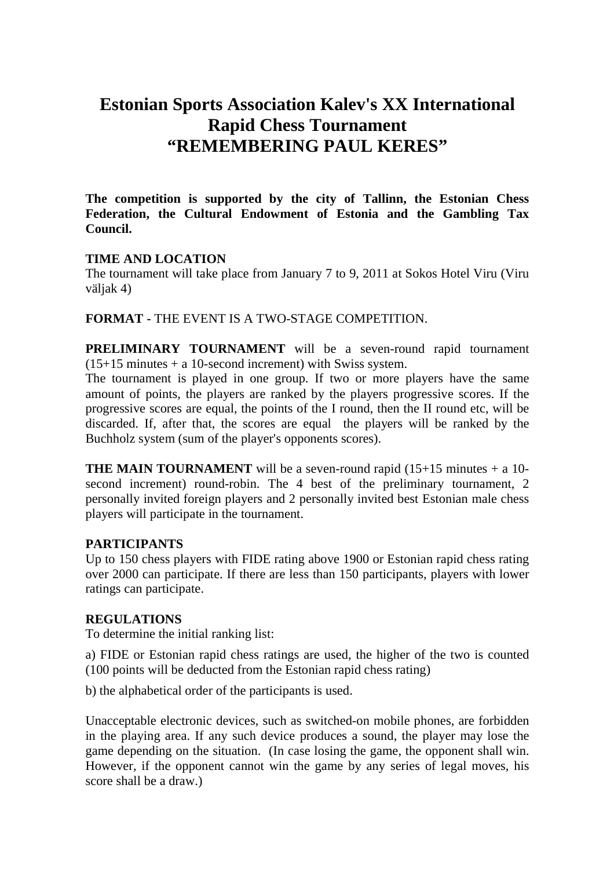# **Estonian Sports Association Kalev's XX International Rapid Chess Tournament "REMEMBERING PAUL KERES"**

**The competition is supported by the city of Tallinn, the Estonian Chess Federation, the Cultural Endowment of Estonia and the Gambling Tax Council.** 

### **TIME AND LOCATION**

The tournament will take place from January 7 to 9, 2011 at Sokos Hotel Viru (Viru väljak 4)

**FORMAT -** THE EVENT IS A TWO-STAGE COMPETITION.

**PRELIMINARY TOURNAMENT** will be a seven-round rapid tournament (15+15 minutes + a 10-second increment) with Swiss system.

The tournament is played in one group. If two or more players have the same amount of points, the players are ranked by the players progressive scores. If the progressive scores are equal, the points of the I round, then the II round etc, will be discarded. If, after that, the scores are equal the players will be ranked by the Buchholz system (sum of the player's opponents scores).

**THE MAIN TOURNAMENT** will be a seven-round rapid  $(15+15 \text{ minutes} + a \cdot 10-1)$ second increment) round-robin. The 4 best of the preliminary tournament, 2 personally invited foreign players and 2 personally invited best Estonian male chess players will participate in the tournament.

### **PARTICIPANTS**

Up to 150 chess players with FIDE rating above 1900 or Estonian rapid chess rating over 2000 can participate. If there are less than 150 participants, players with lower ratings can participate.

### **REGULATIONS**

To determine the initial ranking list:

a) FIDE or Estonian rapid chess ratings are used, the higher of the two is counted (100 points will be deducted from the Estonian rapid chess rating)

b) the alphabetical order of the participants is used.

Unacceptable electronic devices, such as switched-on mobile phones, are forbidden in the playing area. If any such device produces a sound, the player may lose the game depending on the situation. (In case losing the game, the opponent shall win. However, if the opponent cannot win the game by any series of legal moves, his score shall be a draw.)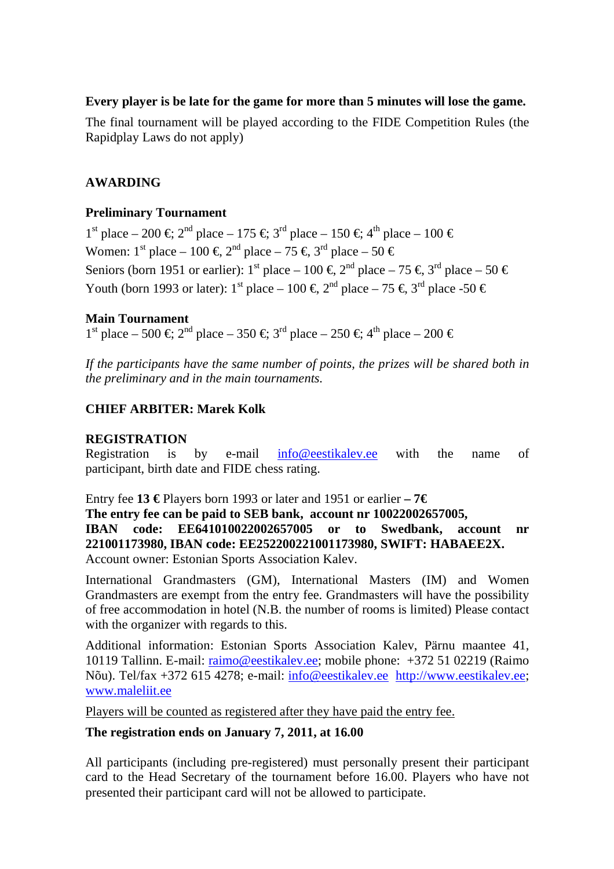# **Every player is be late for the game for more than 5 minutes will lose the game.**

The final tournament will be played according to the FIDE Competition Rules (the Rapidplay Laws do not apply)

# **AWARDING**

# **Preliminary Tournament**

 $1<sup>st</sup>$  place – 200 €;  $2<sup>nd</sup>$  place – 175 €;  $3<sup>d</sup>$  place – 150 €;  $4<sup>th</sup>$  place – 100 € Women:  $1^{\text{st}}$  place –  $100 \in \mathcal{Z}^{\text{nd}}$  place –  $75 \in \mathcal{Z}^{\text{rd}}$  place –  $50 \in$ Seniors (born 1951 or earlier): 1<sup>st</sup> place – 100 €, 2<sup>d</sup> place – 75 €, 3<sup>d</sup> place – 50 € Youth (born 1993 or later): 1<sup>st</sup> place – 100 €, 2<sup>nd</sup> place – 75 €, 3<sup>d</sup> place -50 €

# **Main Tournament**

 $1<sup>st</sup>$  place – 500 €;  $2<sup>rd</sup>$  place – 350 €;  $3<sup>rd</sup>$  place – 250 €;  $4<sup>th</sup>$  place – 200 €

*If the participants have the same number of points, the prizes will be shared both in the preliminary and in the main tournaments.* 

# **CHIEF ARBITER: Marek Kolk**

### **REGISTRATION**

Registration is by e-mail info@eestikalev.ee with the name of participant, birth date and FIDE chess rating.

Entry fee **13 €** Players born 1993 or later and 1951 or earlier **– 7€**

# **The entry fee can be paid to SEB bank, account nr 10022002657005,**

**IBAN code: EE641010022002657005 or to Swedbank, account nr 221001173980, IBAN code: EE252200221001173980, SWIFT: HABAEE2X.**  Account owner: Estonian Sports Association Kalev.

International Grandmasters (GM), International Masters (IM) and Women Grandmasters are exempt from the entry fee. Grandmasters will have the possibility of free accommodation in hotel (N.B. the number of rooms is limited) Please contact with the organizer with regards to this.

Additional information: Estonian Sports Association Kalev, Pärnu maantee 41, 10119 Tallinn. E-mail: raimo@eestikalev.ee; mobile phone: +372 51 02219 (Raimo Nõu). Tel/fax +372 615 4278; e-mail: info@eestikalev.ee http://www.eestikalev.ee; www.maleliit.ee

Players will be counted as registered after they have paid the entry fee.

# **The registration ends on January 7, 2011, at 16.00**

All participants (including pre-registered) must personally present their participant card to the Head Secretary of the tournament before 16.00. Players who have not presented their participant card will not be allowed to participate.